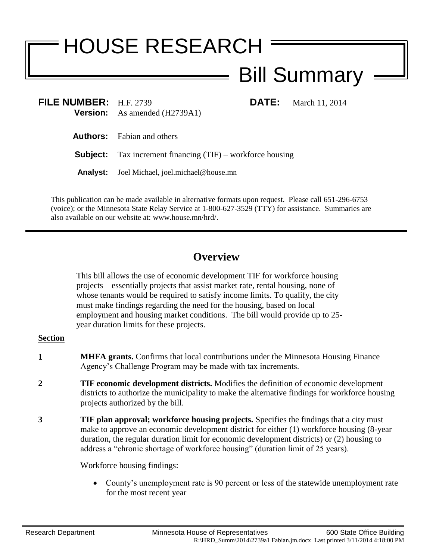# HOUSE RESEARCH

Bill Summary

**FILE NUMBER:** H.F. 2739 **DATE:** March 11, 2014 **Version:** As amended (H2739A1)

**Authors:** Fabian and others

**Subject:** Tax increment financing (TIF) – workforce housing

**Analyst:** Joel Michael, joel.michael@house.mn

This publication can be made available in alternative formats upon request. Please call 651-296-6753 (voice); or the Minnesota State Relay Service at 1-800-627-3529 (TTY) for assistance. Summaries are also available on our website at: www.house.mn/hrd/.

# **Overview**

This bill allows the use of economic development TIF for workforce housing projects – essentially projects that assist market rate, rental housing, none of whose tenants would be required to satisfy income limits. To qualify, the city must make findings regarding the need for the housing, based on local employment and housing market conditions. The bill would provide up to 25 year duration limits for these projects.

## **Section**

- **1 MHFA grants.** Confirms that local contributions under the Minnesota Housing Finance Agency's Challenge Program may be made with tax increments.
- **2 TIF economic development districts.** Modifies the definition of economic development districts to authorize the municipality to make the alternative findings for workforce housing projects authorized by the bill.
- **3 TIF plan approval; workforce housing projects.** Specifies the findings that a city must make to approve an economic development district for either (1) workforce housing (8-year duration, the regular duration limit for economic development districts) or (2) housing to address a "chronic shortage of workforce housing" (duration limit of 25 years).

Workforce housing findings:

 County's unemployment rate is 90 percent or less of the statewide unemployment rate for the most recent year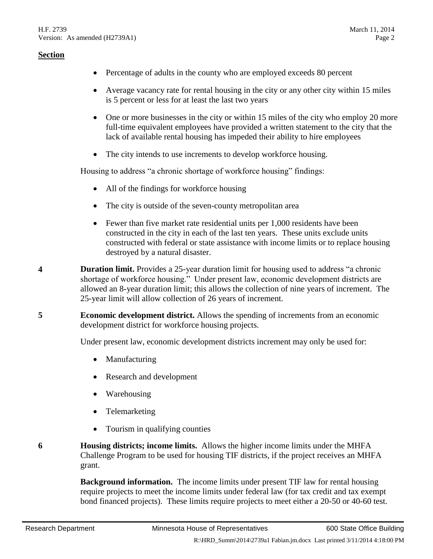#### **Section**

- Percentage of adults in the county who are employed exceeds 80 percent
- Average vacancy rate for rental housing in the city or any other city within 15 miles is 5 percent or less for at least the last two years
- One or more businesses in the city or within 15 miles of the city who employ 20 more full-time equivalent employees have provided a written statement to the city that the lack of available rental housing has impeded their ability to hire employees
- The city intends to use increments to develop workforce housing.

Housing to address "a chronic shortage of workforce housing" findings:

- All of the findings for workforce housing
- The city is outside of the seven-county metropolitan area
- Fewer than five market rate residential units per 1,000 residents have been constructed in the city in each of the last ten years. These units exclude units constructed with federal or state assistance with income limits or to replace housing destroyed by a natural disaster.
- **4 Duration limit.** Provides a 25-year duration limit for housing used to address "a chronic shortage of workforce housing." Under present law, economic development districts are allowed an 8-year duration limit; this allows the collection of nine years of increment. The 25-year limit will allow collection of 26 years of increment.
- **5 Economic development district.** Allows the spending of increments from an economic development district for workforce housing projects.

Under present law, economic development districts increment may only be used for:

- Manufacturing
- Research and development
- Warehousing
- Telemarketing
- Tourism in qualifying counties
- **6 Housing districts; income limits.** Allows the higher income limits under the MHFA Challenge Program to be used for housing TIF districts, if the project receives an MHFA grant.

**Background information.** The income limits under present TIF law for rental housing require projects to meet the income limits under federal law (for tax credit and tax exempt bond financed projects). These limits require projects to meet either a 20-50 or 40-60 test.